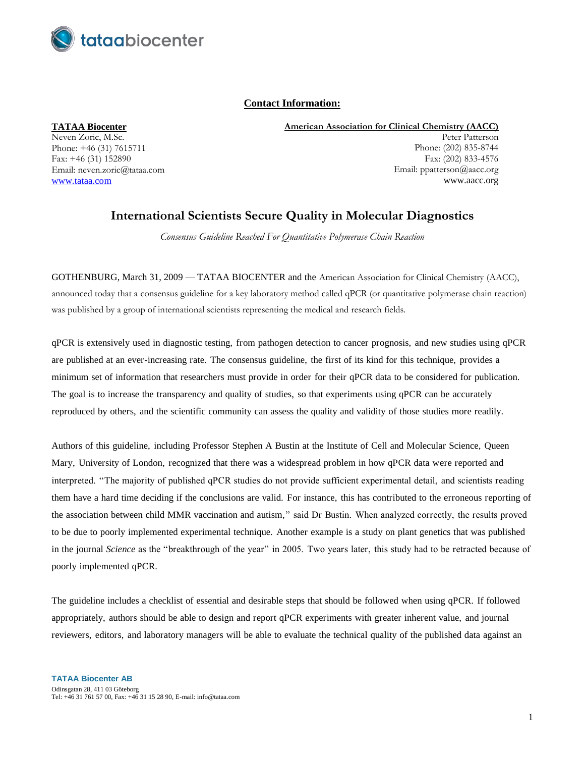

# **Contact Information:**

**TATAA Biocenter**

Neven Zoric, M.Sc. Phone: +46 (31) 7615711 Fax: +46 (31) 152890 Email: neven.zoric@tataa.com [www.tataa.com](http://www.tataa.com/)

**American Association for Clinical Chemistry (AACC)** Peter Patterson Phone: (202) 835-8744 Fax: (202) 833-4576 Email: [ppatterson@aacc.org](mailto:ppatterson@aacc.org) www.aacc.org

# **International Scientists Secure Quality in Molecular Diagnostics**

*Consensus Guideline Reached For Quantitative Polymerase Chain Reaction*

GOTHENBURG, March 31, 2009 — TATAA BIOCENTER and the American Association for Clinical Chemistry (AACC), announced today that a consensus guideline for a key laboratory method called qPCR (or quantitative polymerase chain reaction) was published by a group of international scientists representing the medical and research fields.

qPCR is extensively used in diagnostic testing, from pathogen detection to cancer prognosis, and new studies using qPCR are published at an ever-increasing rate. The consensus guideline, the first of its kind for this technique, provides a minimum set of information that researchers must provide in order for their qPCR data to be considered for publication. The goal is to increase the transparency and quality of studies, so that experiments using qPCR can be accurately reproduced by others, and the scientific community can assess the quality and validity of those studies more readily.

Authors of this guideline, including Professor Stephen A Bustin at the Institute of Cell and Molecular Science, Queen Mary, University of London, recognized that there was a widespread problem in how qPCR data were reported and interpreted. "The majority of published qPCR studies do not provide sufficient experimental detail, and scientists reading them have a hard time deciding if the conclusions are valid. For instance, this has contributed to the erroneous reporting of the association between child MMR vaccination and autism," said Dr Bustin. When analyzed correctly, the results proved to be due to poorly implemented experimental technique. Another example is a study on plant genetics that was published in the journal *Science* as the "breakthrough of the year" in 2005. Two years later, this study had to be retracted because of poorly implemented qPCR.

The guideline includes a checklist of essential and desirable steps that should be followed when using qPCR. If followed appropriately, authors should be able to design and report qPCR experiments with greater inherent value, and journal reviewers, editors, and laboratory managers will be able to evaluate the technical quality of the published data against an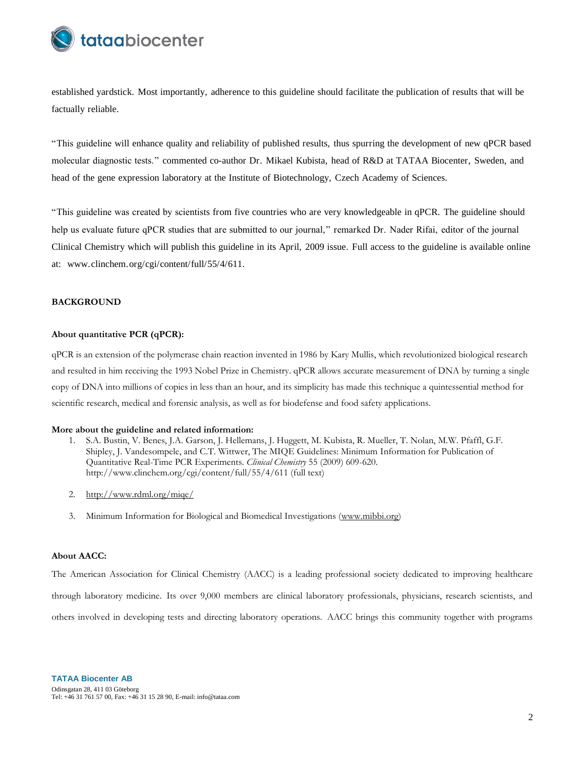

established yardstick. Most importantly, adherence to this guideline should facilitate the publication of results that will be factually reliable.

"This guideline will enhance quality and reliability of published results, thus spurring the development of new qPCR based molecular diagnostic tests." commented co-author Dr. Mikael Kubista, head of R&D at TATAA Biocenter, Sweden, and head of the gene expression laboratory at the Institute of Biotechnology, Czech Academy of Sciences.

"This guideline was created by scientists from five countries who are very knowledgeable in qPCR. The guideline should help us evaluate future qPCR studies that are submitted to our journal," remarked Dr. Nader Rifai, editor of the journal Clinical Chemistry which will publish this guideline in its April, 2009 issue. Full access to the guideline is available online at: [www.clinchem.org/cgi/content/full/55/4/611.](http://www.clinchem.org/cgi/content/full/55/4/611)

## **BACKGROUND**

# **About quantitative PCR (qPCR):**

qPCR is an extension of the polymerase chain reaction invented in 1986 by Kary Mullis, which revolutionized biological research and resulted in him receiving the 1993 Nobel Prize in Chemistry. qPCR allows accurate measurement of DNA by turning a single copy of DNA into millions of copies in less than an hour, and its simplicity has made this technique a quintessential method for scientific research, medical and forensic analysis, as well as for biodefense and food safety applications.

#### **More about the guideline and related information:**

- 1. S.A. Bustin, V. Benes, J.A. Garson, J. Hellemans, J. Huggett, M. Kubista, R. Mueller, T. Nolan, M.W. Pfaffl, G.F. Shipley, J. Vandesompele, and C.T. Wittwer, The MIQE Guidelines: Minimum Information for Publication of Quantitative Real-Time PCR Experiments. *Clinical Chemistry* 55 (2009) 609-620. http://www.clinchem.org/cgi/content/full/55/4/611 (full text)
- 2. <http://www.rdml.org/miqe/>
- 3. Minimum Information for Biological and Biomedical Investigations [\(www.mibbi.org\)](http://www.mibbi.org/)

### **About AACC:**

The American Association for Clinical Chemistry (AACC) is a leading professional society dedicated to improving healthcare through laboratory medicine. Its over 9,000 members are clinical laboratory professionals, physicians, research scientists, and others involved in developing tests and directing laboratory operations. AACC brings this community together with programs